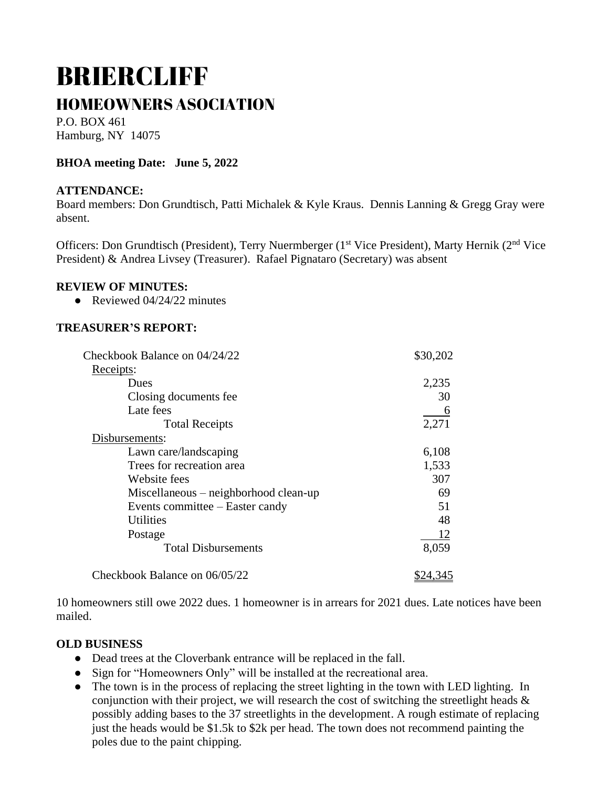# BRIERCLIFF HOMEOWNERS ASOCIATION

P.O. BOX 461 Hamburg, NY 14075

# **BHOA meeting Date: June 5, 2022**

### **ATTENDANCE:**

Board members: Don Grundtisch, Patti Michalek & Kyle Kraus. Dennis Lanning & Gregg Gray were absent.

Officers: Don Grundtisch (President), Terry Nuermberger (1<sup>st</sup> Vice President), Marty Hernik (2<sup>nd</sup> Vice President) & Andrea Livsey (Treasurer). Rafael Pignataro (Secretary) was absent

#### **REVIEW OF MINUTES:**

• Reviewed  $04/24/22$  minutes

### **TREASURER'S REPORT:**

| Checkbook Balance on 04/24/22         | \$30,202 |
|---------------------------------------|----------|
| Receipts:                             |          |
| Dues                                  | 2,235    |
| Closing documents fee                 | 30       |
| Late fees                             |          |
| <b>Total Receipts</b>                 | 2,271    |
| Disbursements:                        |          |
| Lawn care/landscaping                 | 6,108    |
| Trees for recreation area             | 1,533    |
| Website fees                          | 307      |
| Miscellaneous – neighborhood clean-up | 69       |
| Events committee – Easter candy       | 51       |
| <b>Utilities</b>                      | 48       |
| Postage                               | 12       |
| <b>Total Disbursements</b>            | 8,059    |
| Checkbook Balance on 06/05/22         | \$24,345 |

10 homeowners still owe 2022 dues. 1 homeowner is in arrears for 2021 dues. Late notices have been mailed.

#### **OLD BUSINESS**

- Dead trees at the Cloverbank entrance will be replaced in the fall.
- Sign for "Homeowners Only" will be installed at the recreational area.
- The town is in the process of replacing the street lighting in the town with LED lighting. In conjunction with their project, we will research the cost of switching the streetlight heads  $\&$ possibly adding bases to the 37 streetlights in the development. A rough estimate of replacing just the heads would be \$1.5k to \$2k per head. The town does not recommend painting the poles due to the paint chipping.